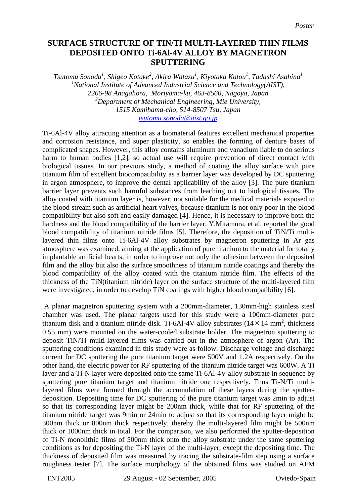## **SURFACE STRUCTURE OF TIN/TI MULTI-LAYERED THIN FILMS DEPOSITED ONTO Ti-6Al-4V ALLOY BY MAGNETRON SPUTTERING**

*Tsutomu Sonoda<sup>1</sup> , Shigeo Kotake<sup>2</sup> , Akira Watazu<sup>1</sup> , Kiyotaka Katou1 , Tadashi Asahina<sup>1</sup>* <sup>1</sup> National Institute of Advanced Industrial Science and Technology(AIST), *2266-98 Anagahora, Moriyama-ku, 463-8560, Nagoya, Japan 2 Department of Mechanical Engineering, Mie University, 1515 Kamihama-cho, 514-8507 Tsu, Japan [tsutomu.sonoda@aist.go.jp](mailto:tsutomu.sonoda@aist.go.jp)*

Ti-6Al-4V alloy attracting attention as a biomaterial features excellent mechanical properties and corrosion resistance, and super plasticity, so enables the forming of denture bases of complicated shapes. However, this alloy contains aluminum and vanadium liable to do serious harm to human bodies [1,2], so actual use will require prevention of direct contact with biological tissues. In our previous study, a method of coating the alloy surface with pure titanium film of excellent biocompatibility as a barrier layer was developed by DC sputtering in argon atmosphere, to improve the dental applicability of the alloy [3]. The pure titanium barrier layer prevents such harmful substances from leaching out to biological tissues. The alloy coated with titanium layer is, however, not suitable for the medical materials exposed to the blood stream such as artificial heart valves, because titanium is not only poor in the blood compatibility but also soft and easily damaged [4]. Hence, it is necessary to improve both the hardness and the blood compatibility of the barrier layer. Y.Mitamura, et al. reported the good blood compatibility of titanium nitride films [5]. Therefore, the deposition of TiN/Ti multilayered thin films onto Ti-6Al-4V alloy substrates by magnetron sputtering in Ar gas atmosphere was examined, aiming at the application of pure titanium to the material for totally implantable artificial hearts, in order to improve not only the adhesion between the deposited film and the alloy but also the surface smoothness of titanium nitride coatings and thereby the blood compatibility of the alloy coated with the titanium nitride film. The effects of the thickness of the TiN(titanium nitride) layer on the surface structure of the multi-layered film were investigated, in order to develop TiN coatings with higher blood compatibility [6].

 A planar magnetron sputtering system with a 200mm-diameter, 130mm-high stainless steel chamber was used. The planar targets used for this study were a 100mm-diameter pure titanium disk and a titanium nitride disk. Ti-6Al-4V alloy substrates  $(14 \times 14 \text{ mm}^2, \text{ thickness})$ 0.55 mm) were mounted on the water-cooled substrate holder. The magnetron sputtering to deposit TiN/Ti multi-layered films was carried out in the atmosphere of argon (Ar). The sputtering conditions examined in this study were as follow. Discharge voltage and discharge current for DC sputtering the pure titanium target were 500V and 1.2A respectively. On the other hand, the electric power for RF sputtering of the titanium nitride target was 600W. A Ti layer and a Ti-N layer were deposited onto the same Ti-6Al-4V alloy substrate in sequence by sputtering pure titanium target and titanium nitride one respectively. Thus Ti-N/Ti multilayered films were formed through the accumulation of these layers during the sputterdeposition. Depositing time for DC sputtering of the pure titanium target was 2min to adjust so that its corresponding layer might be 200nm thick, while that for RF sputtering of the titanium nitride target was 9min or 24min to adjust so that its corresponding layer might be 300nm thick or 800nm thick respectively, thereby the multi-layered film might be 500nm thick or 1000nm thick in total. For the comparison, we also performed the sputter-deposition of Ti-N monolithic films of 500nm thick onto the alloy substrate under the same sputtering conditions as for depositing the Ti-N layer of the multi-layer, except the depositing time. The thickness of deposited film was measured by tracing the substrate-film step using a surface roughness tester [7]. The surface morphology of the obtained films was studied on AFM